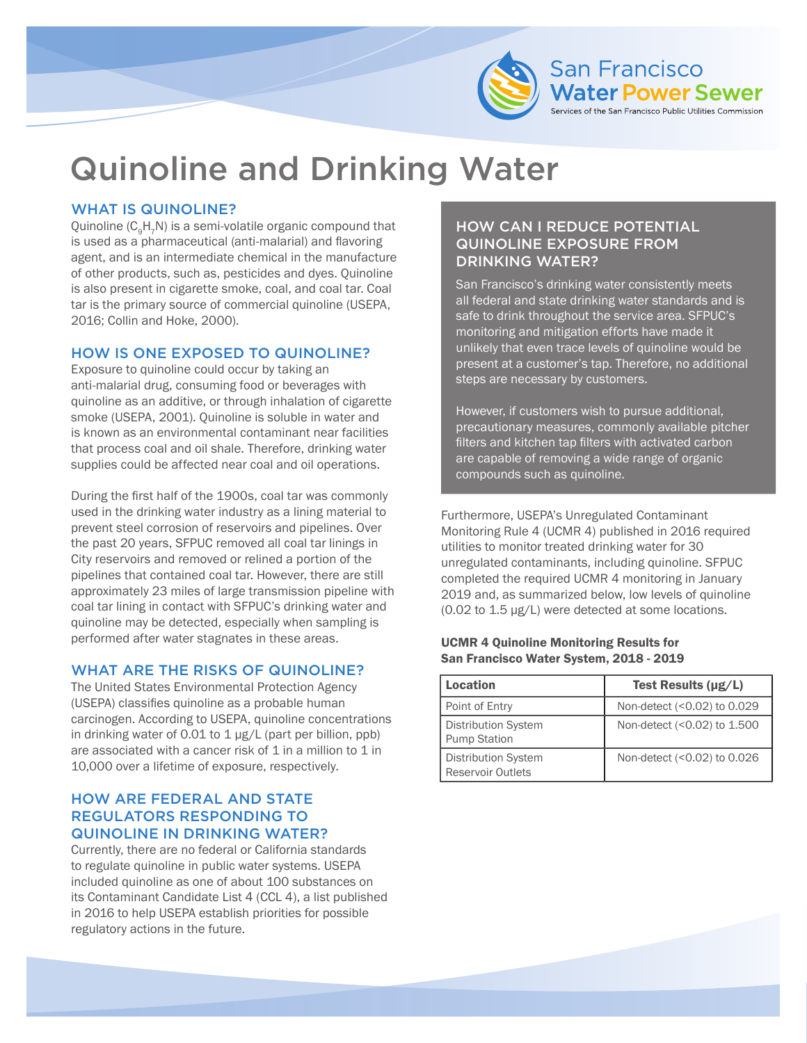

# Quinoline and Drinking Water

## WHAT IS QUINOLINE?

Quinoline (C<sub>o</sub>H<sub>7</sub>N) is a semi-volatile organic compound that is used as a pharmaceutical (anti-malarial) and flavoring agent, and is an intermediate chemical in the manufacture of other products, such as, pesticides and dyes. Quinoline is also present in cigarette smoke, coal, and coal tar. Coal tar is the primary source of commercial quinoline (USEPA, 2016; Collin and Hoke, 2000).

## HOW IS ONE EXPOSED TO QUINOLINE?

Exposure to quinoline could occur by taking an anti-malarial drug, consuming food or beverages with quinoline as an additive, or through inhalation of cigarette smoke (USEPA, 2001). Quinoline is soluble in water and is known as an environmental contaminant near facilities that process coal and oil shale. Therefore, drinking water supplies could be affected near coal and oil operations.

During the first half of the 1900s, coal tar was commonly used in the drinking water industry as a lining material to prevent steel corrosion of reservoirs and pipelines. Over the past 20 years, SFPUC removed all coal tar linings in City reservoirs and removed or relined a portion of the pipelines that contained coal tar. However, there are still approximately 23 miles of large transmission pipeline with coal tar lining in contact with SFPUC's drinking water and quinoline may be detected, especially when sampling is performed after water stagnates in these areas.

## WHAT ARE THE RISKS OF QUINOLINE?

The United States Environmental Protection Agency (USEPA) classifies quinoline as a probable human carcinogen. According to USEPA, quinoline concentrations in drinking water of 0.01 to 1 µg/L (part per billion, ppb) are associated with a cancer risk of  $1$  in a million to  $1$  in 10,000 over a lifetime of exposure, respectively.

## HOW ARE FEDERAL AND STATE REGULATORS RESPONDING TO QUINOLINE IN DRINKING WATER?

Currently, there are no federal or California standards to regulate quinoline in public water systems. USEPA included quinoline as one of about 100 substances on its Contaminant Candidate List 4 (CCL 4), a list published in 2016 to help USEPA establish priorities for possible regulatory actions in the future.

## HOW CAN I REDUCE POTENTIAL QUINOLINE EXPOSURE FROM DRINKING WATER?

San Francisco's drinking water consistently meets all federal and state drinking water standards and is safe to drink throughout the service area. SFPUC's monitoring and mitigation efforts have made it unlikely that even trace levels of quinoline would be present at a customer's tap. Therefore, no additional steps are necessary by customers.

However, if customers wish to pursue additional, precautionary measures, commonly available pitcher filters and kitchen tap filters with activated carbon are capable of removing a wide range of organic compounds such as quinoline.

Furthermore, USEPA's Unregulated Contaminant Monitoring Rule 4 (UCMR 4) published in 2016 required utilities to monitor treated drinking water for 30 unregulated contaminants, including quinoline. SFPUC completed the required UCMR 4 monitoring in January 2019 and, as summarized below, low levels of quinoline (0.02 to 1.5 µg/L) were detected at some locations.

#### UCMR 4 Quinoline Monitoring Results for San Francisco Water System, 2018 - 2019

| Location                                          | Test Results $(\mu g/L)$    |
|---------------------------------------------------|-----------------------------|
| Point of Entry                                    | Non-detect (<0.02) to 0.029 |
| <b>Distribution System</b><br><b>Pump Station</b> | Non-detect (<0.02) to 1.500 |
| <b>Distribution System</b><br>Reservoir Outlets   | Non-detect (<0.02) to 0.026 |